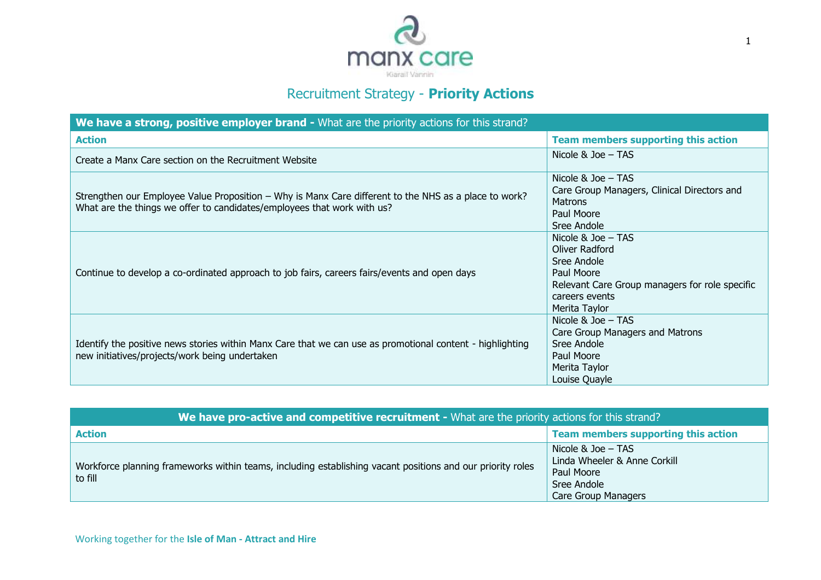

## Recruitment Strategy - **Priority Actions**

| We have a strong, positive employer brand - What are the priority actions for this strand?                                                                                       |                                                                                                                                                          |
|----------------------------------------------------------------------------------------------------------------------------------------------------------------------------------|----------------------------------------------------------------------------------------------------------------------------------------------------------|
| <b>Action</b>                                                                                                                                                                    | <b>Team members supporting this action</b>                                                                                                               |
| Create a Manx Care section on the Recruitment Website                                                                                                                            | Nicole & Joe - TAS                                                                                                                                       |
| Strengthen our Employee Value Proposition – Why is Manx Care different to the NHS as a place to work?<br>What are the things we offer to candidates/employees that work with us? | Nicole $&$ Joe $-$ TAS<br>Care Group Managers, Clinical Directors and<br><b>Matrons</b><br>Paul Moore<br>Sree Andole                                     |
| Continue to develop a co-ordinated approach to job fairs, careers fairs/events and open days                                                                                     | Nicole & $Joe - TAS$<br>Oliver Radford<br>Sree Andole<br>Paul Moore<br>Relevant Care Group managers for role specific<br>careers events<br>Merita Taylor |
| Identify the positive news stories within Manx Care that we can use as promotional content - highlighting<br>new initiatives/projects/work being undertaken                      | Nicole & $Joe - TAS$<br>Care Group Managers and Matrons<br>Sree Andole<br>Paul Moore<br>Merita Taylor<br>Louise Quayle                                   |

| We have pro-active and competitive recruitment - What are the priority actions for this strand?                       |                                                                                                                   |  |
|-----------------------------------------------------------------------------------------------------------------------|-------------------------------------------------------------------------------------------------------------------|--|
| <b>Action</b>                                                                                                         | Team members supporting this action                                                                               |  |
| Workforce planning frameworks within teams, including establishing vacant positions and our priority roles<br>to fill | Nicole $&$ Joe $-$ TAS<br>Linda Wheeler & Anne Corkill<br>Paul Moore<br>Sree Andole<br><b>Care Group Managers</b> |  |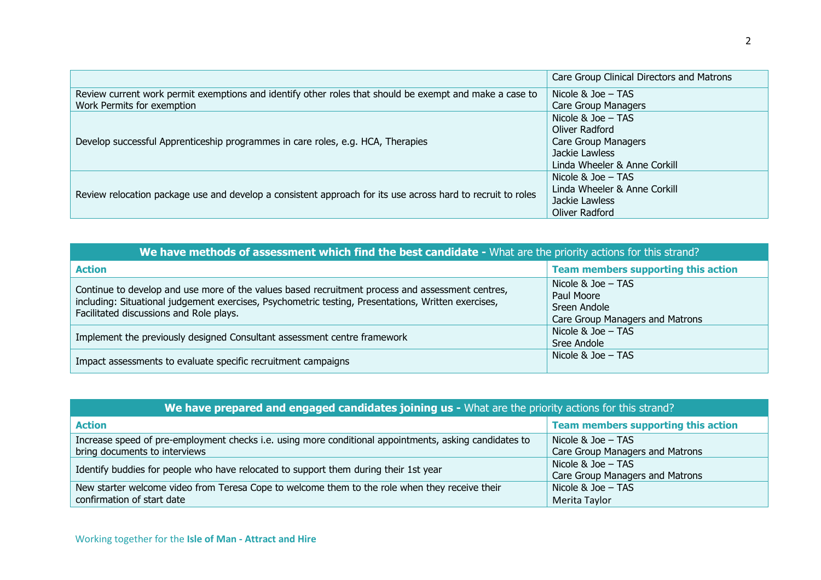|                                                                                                             | Care Group Clinical Directors and Matrons |
|-------------------------------------------------------------------------------------------------------------|-------------------------------------------|
| Review current work permit exemptions and identify other roles that should be exempt and make a case to     | Nicole & Joe - TAS                        |
| Work Permits for exemption                                                                                  | <b>Care Group Managers</b>                |
| Develop successful Apprenticeship programmes in care roles, e.g. HCA, Therapies                             | Nicole & Joe $-$ TAS                      |
|                                                                                                             | Oliver Radford                            |
|                                                                                                             | <b>Care Group Managers</b>                |
|                                                                                                             | Jackie Lawless                            |
|                                                                                                             | Linda Wheeler & Anne Corkill              |
| Review relocation package use and develop a consistent approach for its use across hard to recruit to roles | Nicole $&$ Joe $-$ TAS                    |
|                                                                                                             | Linda Wheeler & Anne Corkill              |
|                                                                                                             | Jackie Lawless                            |
|                                                                                                             | Oliver Radford                            |

| We have methods of assessment which find the best candidate - What are the priority actions for this strand?                                                                                                                                       |                                                                                         |  |
|----------------------------------------------------------------------------------------------------------------------------------------------------------------------------------------------------------------------------------------------------|-----------------------------------------------------------------------------------------|--|
| <b>Action</b>                                                                                                                                                                                                                                      | Team members supporting this action                                                     |  |
| Continue to develop and use more of the values based recruitment process and assessment centres,<br>including: Situational judgement exercises, Psychometric testing, Presentations, Written exercises,<br>Facilitated discussions and Role plays. | Nicole $&$ Joe $-$ TAS<br>Paul Moore<br>Sreen Andole<br>Care Group Managers and Matrons |  |
| Implement the previously designed Consultant assessment centre framework                                                                                                                                                                           | Nicole & Joe - TAS<br>Sree Andole                                                       |  |
| Impact assessments to evaluate specific recruitment campaigns                                                                                                                                                                                      | Nicole & Joe - TAS                                                                      |  |

| We have prepared and engaged candidates joining us - What are the priority actions for this strand?    |                                     |  |
|--------------------------------------------------------------------------------------------------------|-------------------------------------|--|
| <b>Action</b>                                                                                          | Team members supporting this action |  |
| Increase speed of pre-employment checks i.e. using more conditional appointments, asking candidates to | Nicole & $Joe$ – TAS                |  |
| bring documents to interviews                                                                          | Care Group Managers and Matrons     |  |
| Identify buddies for people who have relocated to support them during their 1st year                   | Nicole & $Joe - TAS$                |  |
|                                                                                                        | Care Group Managers and Matrons     |  |
| New starter welcome video from Teresa Cope to welcome them to the role when they receive their         | Nicole & $Joe - TAS$                |  |
| confirmation of start date                                                                             | Merita Taylor                       |  |